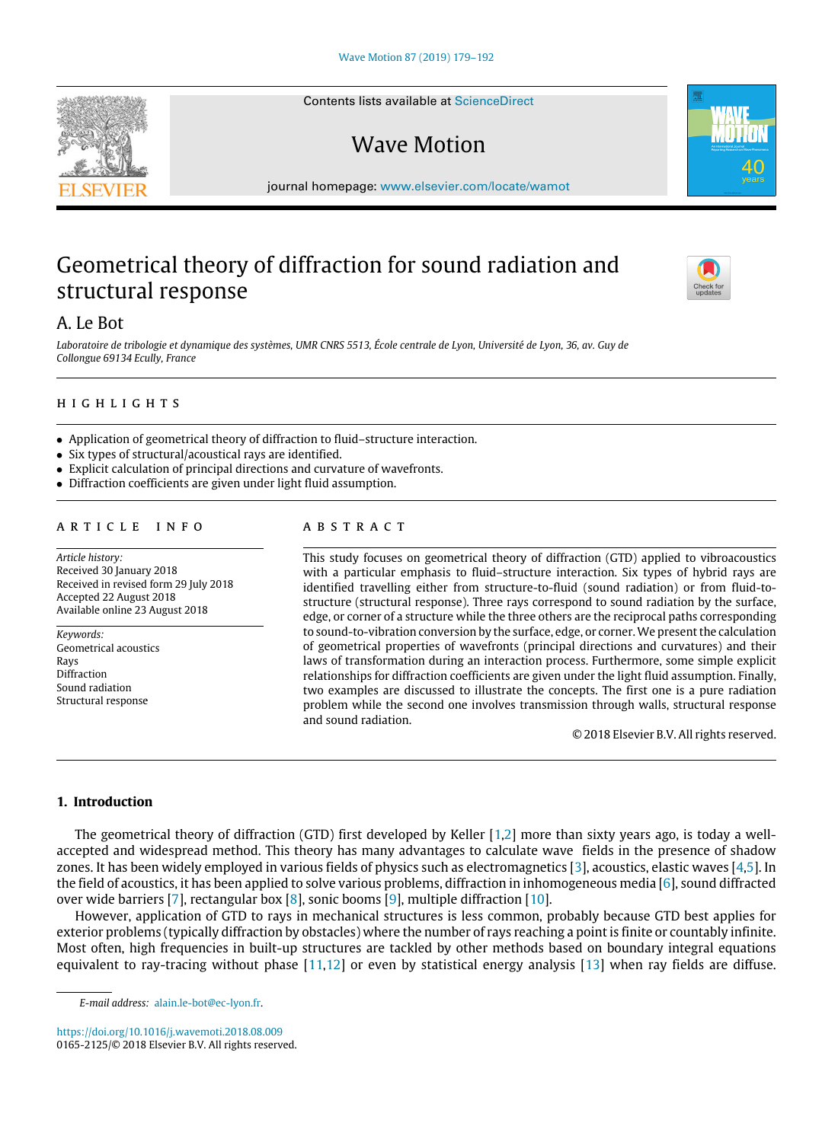Contents lists available at [ScienceDirect](http://www.elsevier.com/locate/wamot)

# Wave Motion

journal homepage: [www.elsevier.com/locate/wamot](http://www.elsevier.com/locate/wamot)

# Geometrical theory of diffraction for sound radiation and structural response

# A. Le Bot

*Laboratoire de tribologie et dynamique des systèmes, UMR CNRS 5513, École centrale de Lyon, Université de Lyon, 36, av. Guy de Collongue 69134 Ecully, France*

# h i g h l i g h t s

- Application of geometrical theory of diffraction to fluid–structure interaction.
- Six types of structural/acoustical rays are identified.
- Explicit calculation of principal directions and curvature of wavefronts.
- Diffraction coefficients are given under light fluid assumption.

#### a r t i c l e i n f o

*Article history:* Received 30 January 2018 Received in revised form 29 July 2018 Accepted 22 August 2018 Available online 23 August 2018

*Keywords:* Geometrical acoustics Rays Diffraction Sound radiation Structural response

# A R S T R A C T

This study focuses on geometrical theory of diffraction (GTD) applied to vibroacoustics with a particular emphasis to fluid–structure interaction. Six types of hybrid rays are identified travelling either from structure-to-fluid (sound radiation) or from fluid-tostructure (structural response). Three rays correspond to sound radiation by the surface, edge, or corner of a structure while the three others are the reciprocal paths corresponding to sound-to-vibration conversion by the surface, edge, or corner.We present the calculation of geometrical properties of wavefronts (principal directions and curvatures) and their laws of transformation during an interaction process. Furthermore, some simple explicit relationships for diffraction coefficients are given under the light fluid assumption. Finally, two examples are discussed to illustrate the concepts. The first one is a pure radiation problem while the second one involves transmission through walls, structural response and sound radiation.

© 2018 Elsevier B.V. All rights reserved.

## **1. Introduction**

The geometrical theory of diffraction (GTD) first developed by Keller [\[1,](#page-13-0)[2\]](#page-13-1) more than sixty years ago, is today a wellaccepted and widespread method. This theory has many advantages to calculate wave fields in the presence of shadow zones. It has been widely employed in various fields of physics such as electromagnetics [\[3](#page-13-2)], acoustics, elastic waves [[4](#page-13-3)[,5](#page-13-4)]. In the field of acoustics, it has been applied to solve various problems, diffraction in inhomogeneous media [\[6\]](#page-13-5), sound diffracted over wide barriers [[7\]](#page-13-6), rectangular box [[8](#page-13-7)], sonic booms [[9\]](#page-13-8), multiple diffraction [\[10\]](#page-13-9).

However, application of GTD to rays in mechanical structures is less common, probably because GTD best applies for exterior problems (typically diffraction by obstacles) where the number of rays reaching a point is finite or countably infinite. Most often, high frequencies in built-up structures are tackled by other methods based on boundary integral equations equivalent to ray-tracing without phase [\[11,](#page-13-10)[12](#page-13-11)] or even by statistical energy analysis [\[13\]](#page-13-12) when ray fields are diffuse.

<https://doi.org/10.1016/j.wavemoti.2018.08.009> 0165-2125/© 2018 Elsevier B.V. All rights reserved.







*E-mail address:* [alain.le-bot@ec-lyon.fr](mailto:alain.le-bot@ec-lyon.fr).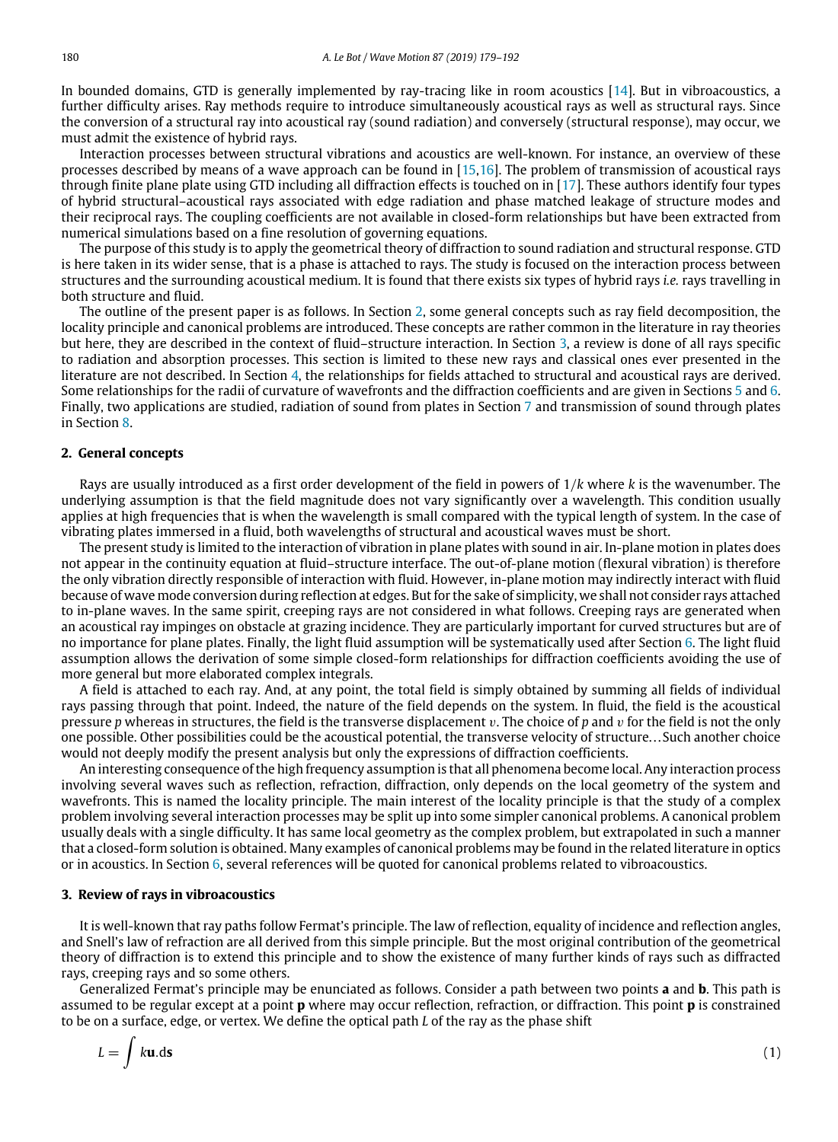In bounded domains, GTD is generally implemented by ray-tracing like in room acoustics [\[14](#page-13-13)]. But in vibroacoustics, a further difficulty arises. Ray methods require to introduce simultaneously acoustical rays as well as structural rays. Since the conversion of a structural ray into acoustical ray (sound radiation) and conversely (structural response), may occur, we must admit the existence of hybrid rays.

Interaction processes between structural vibrations and acoustics are well-known. For instance, an overview of these processes described by means of a wave approach can be found in [[15](#page-13-14)[,16](#page-13-15)]. The problem of transmission of acoustical rays through finite plane plate using GTD including all diffraction effects is touched on in [[17\]](#page-13-16). These authors identify four types of hybrid structural–acoustical rays associated with edge radiation and phase matched leakage of structure modes and their reciprocal rays. The coupling coefficients are not available in closed-form relationships but have been extracted from numerical simulations based on a fine resolution of governing equations.

The purpose of this study is to apply the geometrical theory of diffraction to sound radiation and structural response. GTD is here taken in its wider sense, that is a phase is attached to rays. The study is focused on the interaction process between structures and the surrounding acoustical medium. It is found that there exists six types of hybrid rays *i.e.* rays travelling in both structure and fluid.

The outline of the present paper is as follows. In Section [2,](#page-1-0) some general concepts such as ray field decomposition, the locality principle and canonical problems are introduced. These concepts are rather common in the literature in ray theories but here, they are described in the context of fluid–structure interaction. In Section [3](#page-1-1), a review is done of all rays specific to radiation and absorption processes. This section is limited to these new rays and classical ones ever presented in the literature are not described. In Section [4](#page-3-0), the relationships for fields attached to structural and acoustical rays are derived. Some relationships for the radii of curvature of wavefronts and the diffraction coefficients and are given in Sections [5](#page-4-0) and [6](#page-8-0). Finally, two applications are studied, radiation of sound from plates in Section [7](#page-9-0) and transmission of sound through plates in Section [8](#page-10-0).

#### **2. General concepts**

<span id="page-1-0"></span>Rays are usually introduced as a first order development of the field in powers of 1/*k* where *k* is the wavenumber. The underlying assumption is that the field magnitude does not vary significantly over a wavelength. This condition usually applies at high frequencies that is when the wavelength is small compared with the typical length of system. In the case of vibrating plates immersed in a fluid, both wavelengths of structural and acoustical waves must be short.

The present study is limited to the interaction of vibration in plane plates with sound in air. In-plane motion in plates does not appear in the continuity equation at fluid–structure interface. The out-of-plane motion (flexural vibration) is therefore the only vibration directly responsible of interaction with fluid. However, in-plane motion may indirectly interact with fluid because of wave mode conversion during reflection at edges. But for the sake of simplicity, we shall not consider rays attached to in-plane waves. In the same spirit, creeping rays are not considered in what follows. Creeping rays are generated when an acoustical ray impinges on obstacle at grazing incidence. They are particularly important for curved structures but are of no importance for plane plates. Finally, the light fluid assumption will be systematically used after Section  $6$ . The light fluid assumption allows the derivation of some simple closed-form relationships for diffraction coefficients avoiding the use of more general but more elaborated complex integrals.

A field is attached to each ray. And, at any point, the total field is simply obtained by summing all fields of individual rays passing through that point. Indeed, the nature of the field depends on the system. In fluid, the field is the acoustical pressure *p* whereas in structures, the field is the transverse displacement v. The choice of *p* and v for the field is not the only one possible. Other possibilities could be the acoustical potential, the transverse velocity of structure. . . Such another choice would not deeply modify the present analysis but only the expressions of diffraction coefficients.

An interesting consequence of the high frequency assumption is that all phenomena become local. Any interaction process involving several waves such as reflection, refraction, diffraction, only depends on the local geometry of the system and wavefronts. This is named the locality principle. The main interest of the locality principle is that the study of a complex problem involving several interaction processes may be split up into some simpler canonical problems. A canonical problem usually deals with a single difficulty. It has same local geometry as the complex problem, but extrapolated in such a manner that a closed-form solution is obtained. Many examples of canonical problems may be found in the related literature in optics or in acoustics. In Section [6](#page-8-0), several references will be quoted for canonical problems related to vibroacoustics.

#### **3. Review of rays in vibroacoustics**

<span id="page-1-1"></span>It is well-known that ray paths follow Fermat's principle. The law of reflection, equality of incidence and reflection angles, and Snell's law of refraction are all derived from this simple principle. But the most original contribution of the geometrical theory of diffraction is to extend this principle and to show the existence of many further kinds of rays such as diffracted rays, creeping rays and so some others.

Generalized Fermat's principle may be enunciated as follows. Consider a path between two points **a** and **b**. This path is assumed to be regular except at a point **p** where may occur reflection, refraction, or diffraction. This point **p** is constrained to be on a surface, edge, or vertex. We define the optical path *L* of the ray as the phase shift

$$
L = \int k\mathbf{u} \cdot d\mathbf{s} \tag{1}
$$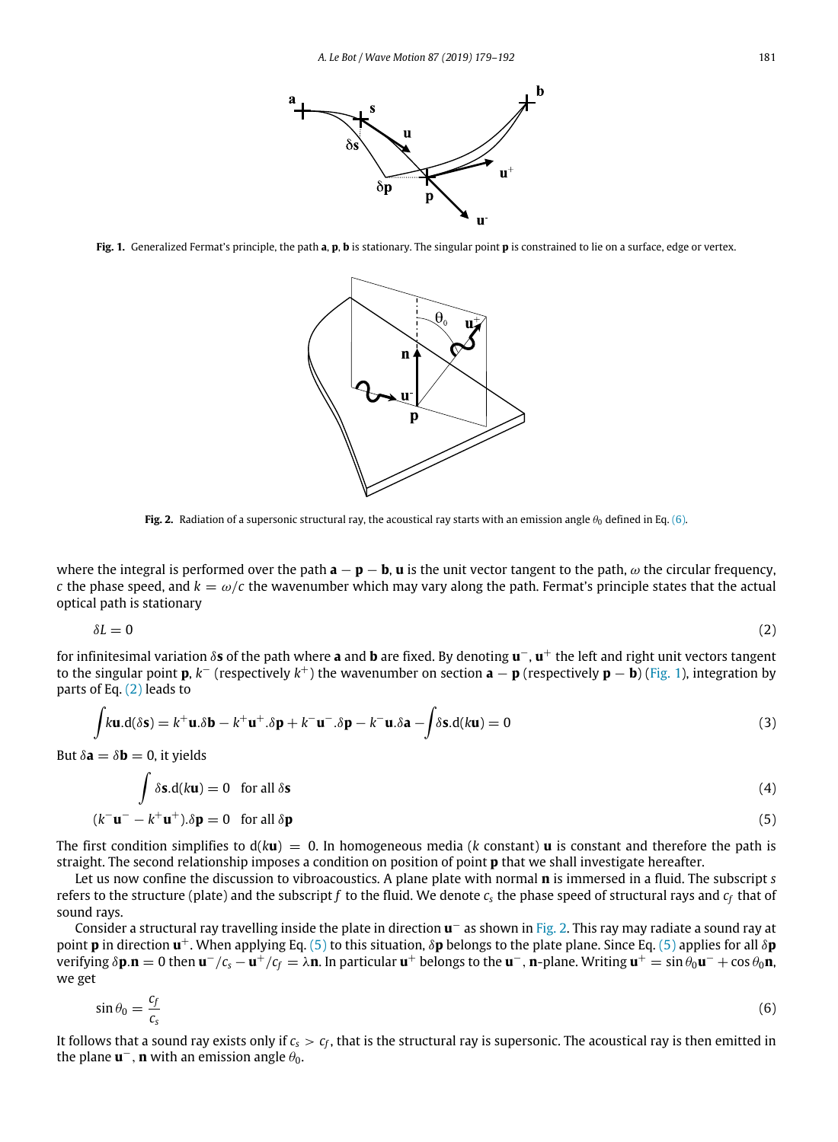

<span id="page-2-1"></span>**Fig. 1.** Generalized Fermat's principle, the path **a**, **p**, **b** is stationary. The singular point **p** is constrained to lie on a surface, edge or vertex.

<span id="page-2-2"></span>

**Fig. 2.** Radiation of a supersonic structural ray, the acoustical ray starts with an emission angle  $\theta_0$  defined in Eq. [\(6](#page-2-0)).

<span id="page-2-3"></span>where the integral is performed over the path  $\mathbf{a} - \mathbf{p} - \mathbf{b}$ ,  $\mathbf{u}$  is the unit vector tangent to the path,  $\omega$  the circular frequency, *c* the phase speed, and  $k = \omega/c$  the wavenumber which may vary along the path. Fermat's principle states that the actual optical path is stationary

$$
\delta L = 0 \tag{2}
$$

for infinitesimal variation δ**s** of the path where **a** and **b** are fixed. By denoting **u** <sup>−</sup>, **u** <sup>+</sup> the left and right unit vectors tangent to the singular point **p**, *k* <sup>−</sup> (respectively *k* <sup>+</sup>) the wavenumber on section **a** − **p** (respectively **p** − **b**) ([Fig.](#page-2-1) [1\)](#page-2-1), integration by parts of Eq. ([2](#page-2-2)) leads to

$$
\int k\mathbf{u} \cdot d(\delta \mathbf{s}) = k^+ \mathbf{u} \cdot \delta \mathbf{b} - k^+ \mathbf{u}^+ \cdot \delta \mathbf{p} + k^- \mathbf{u}^- \cdot \delta \mathbf{p} - k^- \mathbf{u} \cdot \delta \mathbf{a} - \int \delta \mathbf{s} \cdot d(k\mathbf{u}) = 0
$$
\n(3)

But  $\delta \mathbf{a} = \delta \mathbf{b} = 0$ , it yields

<span id="page-2-4"></span>
$$
\int \delta \mathbf{s} \cdot d(k\mathbf{u}) = 0 \quad \text{for all } \delta \mathbf{s} \tag{4}
$$

$$
(k^- \mathbf{u}^- - k^+ \mathbf{u}^+).\delta \mathbf{p} = 0 \quad \text{for all } \delta \mathbf{p} \tag{5}
$$

The first condition simplifies to  $d(k**u**) = 0$ . In homogeneous media (*k* constant) **u** is constant and therefore the path is straight. The second relationship imposes a condition on position of point **p** that we shall investigate hereafter.

Let us now confine the discussion to vibroacoustics. A plane plate with normal **n** is immersed in a fluid. The subscript *s* refers to the structure (plate) and the subscript *f* to the fluid. We denote  $c_s$  the phase speed of structural rays and  $c_f$  that of sound rays.

Consider a structural ray travelling inside the plate in direction **u** <sup>−</sup> as shown in [Fig.](#page-2-3) [2](#page-2-3). This ray may radiate a sound ray at point **p** in direction **u** <sup>+</sup>. When applying Eq. [\(5](#page-2-4)) to this situation, δ**p** belongs to the plate plane. Since Eq. [\(5](#page-2-4)) applies for all δ**p** verifying  $\delta{\bf p}.{\bf n}=0$  then  ${\bf u}^-/c_s-{\bf u}^+/c_f=\lambda{\bf n}.$  In particular  ${\bf u}^+$  belongs to the  ${\bf u}^-$  ,  ${\bf n}$ -plane. Writing  ${\bf u}^+=\sin\theta_0{\bf u}^-+\cos\theta_0{\bf n}.$ we get

<span id="page-2-0"></span>
$$
\sin \theta_0 = \frac{c_f}{c_s} \tag{6}
$$

It follows that a sound ray exists only if  $c_s>c_f$ , that is the structural ray is supersonic. The acoustical ray is then emitted in the plane  $\mathbf{u}^-$ , **n** with an emission angle  $\theta_0$ .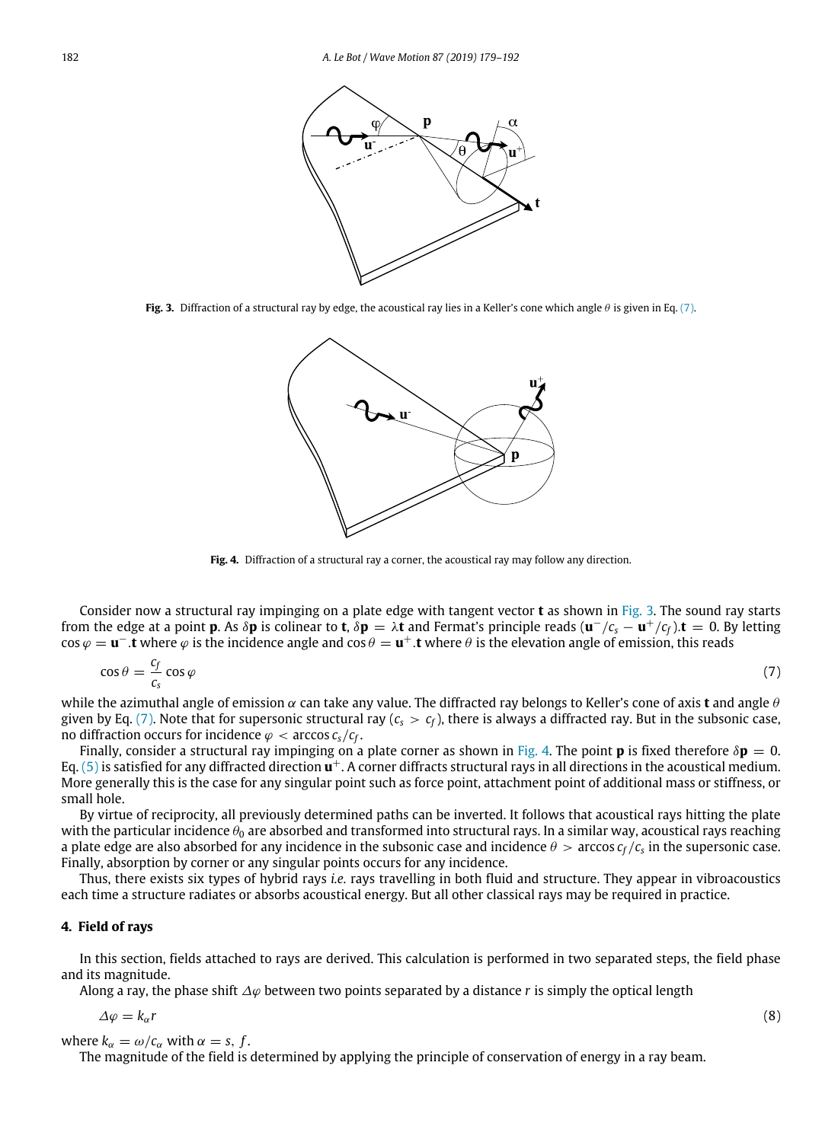

<span id="page-3-2"></span>**Fig. 3.** Diffraction of a structural ray by edge, the acoustical ray lies in a Keller's cone which angle  $\theta$  is given in Eq. ([7\)](#page-3-1).



**Fig. 4.** Diffraction of a structural ray a corner, the acoustical ray may follow any direction.

<span id="page-3-3"></span>Consider now a structural ray impinging on a plate edge with tangent vector **t** as shown in [Fig.](#page-3-2) [3.](#page-3-2) The sound ray starts from the edge at a point **p**. As  $\delta$ **p** is colinear to **t**,  $\delta$ **p** =  $\lambda$ **t** and Fermat's principle reads ( $u^-/c_s - u^+/c_f$ ). $t = 0$ . By letting  $\cos\varphi=\bf{u}$  <sup>−</sup>. **t** where  $\varphi$  is the incidence angle and  $\cos\theta=\bf{u}^+$  . **t** where  $\theta$  is the elevation angle of emission, this reads

$$
\cos \theta = \frac{c_f}{c_s} \cos \varphi \tag{7}
$$

while the azimuthal angle of emission  $\alpha$  can take any value. The diffracted ray belongs to Keller's cone of axis **t** and angle  $\theta$ given by Eq. ([7](#page-3-1)). Note that for supersonic structural ray ( $c_s > c_f$ ), there is always a diffracted ray. But in the subsonic case, no diffraction occurs for incidence  $\varphi <$  arccos  $c_{\text{s}}/c_{\text{f}}$ .

Finally, consider a structural ray impinging on a plate corner as shown in [Fig.](#page-3-3) [4.](#page-3-3) The point **p** is fixed therefore  $\delta \mathbf{p} = 0$ . Eq. [\(5](#page-2-4)) is satisfied for any diffracted direction **u** <sup>+</sup>. A corner diffracts structural rays in all directions in the acoustical medium. More generally this is the case for any singular point such as force point, attachment point of additional mass or stiffness, or small hole.

By virtue of reciprocity, all previously determined paths can be inverted. It follows that acoustical rays hitting the plate with the particular incidence  $\theta_0$  are absorbed and transformed into structural rays. In a similar way, acoustical rays reaching a plate edge are also absorbed for any incidence in the subsonic case and incidence  $\theta>$  arccos  $c_f/c_s$  in the supersonic case. Finally, absorption by corner or any singular points occurs for any incidence.

Thus, there exists six types of hybrid rays *i.e.* rays travelling in both fluid and structure. They appear in vibroacoustics each time a structure radiates or absorbs acoustical energy. But all other classical rays may be required in practice.

## **4. Field of rays**

<span id="page-3-0"></span>In this section, fields attached to rays are derived. This calculation is performed in two separated steps, the field phase and its magnitude.

Along a ray, the phase shift ∆ϕ between two points separated by a distance *r* is simply the optical length

$$
\Delta \varphi = k_{\alpha} r \tag{8}
$$

where  $k_{\alpha} = \omega/c_{\alpha}$  with  $\alpha = s$ , f.

The magnitude of the field is determined by applying the principle of conservation of energy in a ray beam.

<span id="page-3-4"></span><span id="page-3-1"></span>
$$
^{(8)}
$$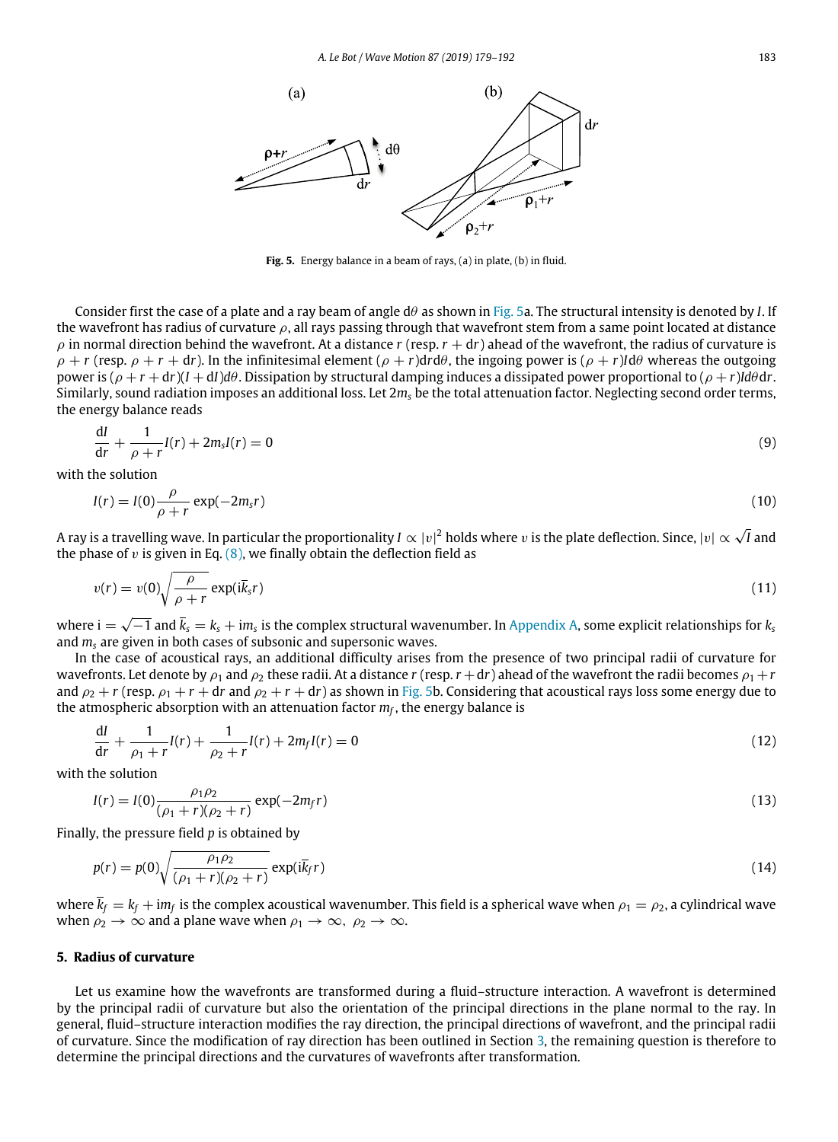

<span id="page-4-3"></span>**Fig. 5.** Energy balance in a beam of rays, (a) in plate, (b) in fluid.

<span id="page-4-1"></span>Consider first the case of a plate and a ray beam of angle  $d\theta$  as shown in [Fig.](#page-4-1) [5a](#page-4-1). The structural intensity is denoted by *I*. If the wavefront has radius of curvature  $\rho$ , all rays passing through that wavefront stem from a same point located at distance  $\rho$  in normal direction behind the wavefront. At a distance *r* (resp.  $r + dr$ ) ahead of the wavefront, the radius of curvature is  $\rho + r$  (resp.  $\rho + r + dr$ ). In the infinitesimal element  $(\rho + r)dr d\theta$ , the ingoing power is  $(\rho + r)dr d\theta$  whereas the outgoing power is  $(ρ + r + dr)(I + dI)dθ$ . Dissipation by structural damping induces a dissipated power proportional to  $(ρ + r)Idθdr$ . Similarly, sound radiation imposes an additional loss. Let 2*m<sup>s</sup>* be the total attenuation factor. Neglecting second order terms, the energy balance reads

$$
\frac{\mathrm{d}I}{\mathrm{d}r} + \frac{1}{\rho + r} I(r) + 2m_s I(r) = 0 \tag{9}
$$

with the solution

$$
I(r) = I(0)\frac{\rho}{\rho + r} \exp(-2m_s r) \tag{10}
$$

A ray is a travelling wave. In particular the proportionality *I*  $\propto$   $|v|^2$  holds where  $v$  is the plate deflection. Since,  $|v| \propto \sqrt{I}$  and the phase of  $v$  is given in Eq.  $(8)$  $(8)$ , we finally obtain the deflection field as

$$
v(r) = v(0)\sqrt{\frac{\rho}{\rho + r}} \exp(i\bar{k}_s r) \tag{11}
$$

where i  $=\sqrt{-1}$  and  $\bar{k}_s=k_s+{\rm i}m_s$  is the complex structural wavenumber. In [Appendix](#page-12-0) [A](#page-12-0), some explicit relationships for  $k_s$ and *m<sup>s</sup>* are given in both cases of subsonic and supersonic waves.

In the case of acoustical rays, an additional difficulty arises from the presence of two principal radii of curvature for wavefronts. Let denote by  $\rho_1$  and  $\rho_2$  these radii. At a distance *r* (resp. *r* + d*r*) ahead of the wavefront the radii becomes  $\rho_1$  + *r* and  $\rho_2 + r$  (resp.  $\rho_1 + r + dr$  and  $\rho_2 + r + dr$ ) as shown in [Fig.](#page-4-1) [5](#page-4-1)b. Considering that acoustical rays loss some energy due to the atmospheric absorption with an attenuation factor *m<sup>f</sup>* , the energy balance is

$$
\frac{dI}{dr} + \frac{1}{\rho_1 + r} I(r) + \frac{1}{\rho_2 + r} I(r) + 2m_f I(r) = 0
$$
\n(12)

with the solution

$$
I(r) = I(0) \frac{\rho_1 \rho_2}{(\rho_1 + r)(\rho_2 + r)} \exp(-2m_f r)
$$
\n(13)

Finally, the pressure field *p* is obtained by

<span id="page-4-2"></span>
$$
p(r) = p(0)\sqrt{\frac{\rho_1 \rho_2}{(\rho_1 + r)(\rho_2 + r)}} \exp(i\bar{k}_f r)
$$
\n(14)

where  $\bar{k}_f=k_f+{\rm i} m_f$  is the complex acoustical wavenumber. This field is a spherical wave when  $\rho_1=\rho_2$ , a cylindrical wave when  $\rho_2 \to \infty$  and a plane wave when  $\rho_1 \to \infty$ ,  $\rho_2 \to \infty$ .

#### **5. Radius of curvature**

<span id="page-4-0"></span>Let us examine how the wavefronts are transformed during a fluid–structure interaction. A wavefront is determined by the principal radii of curvature but also the orientation of the principal directions in the plane normal to the ray. In general, fluid–structure interaction modifies the ray direction, the principal directions of wavefront, and the principal radii of curvature. Since the modification of ray direction has been outlined in Section [3,](#page-1-1) the remaining question is therefore to determine the principal directions and the curvatures of wavefronts after transformation.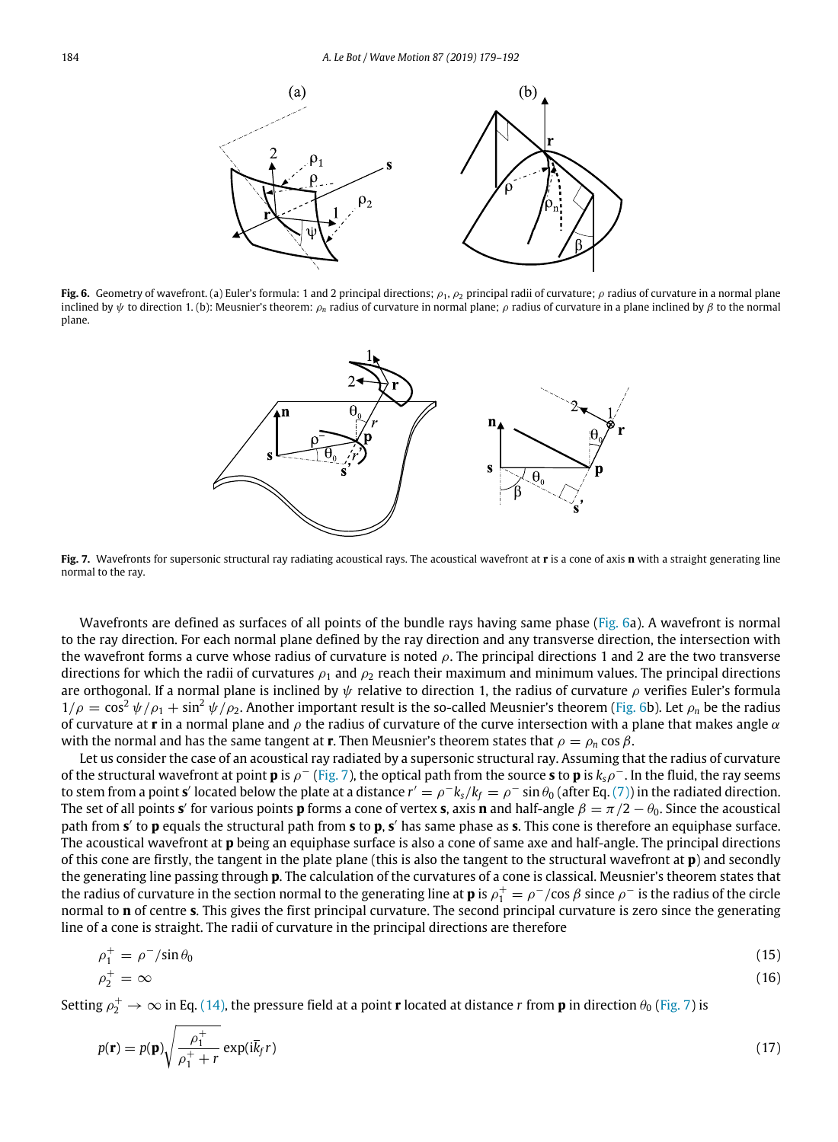

<span id="page-5-0"></span>**Fig. 6.** Geometry of wavefront. (a) Euler's formula: 1 and 2 principal directions;  $\rho_1$ ,  $\rho_2$  principal radii of curvature;  $\rho$  radius of curvature in a normal plane inclined by  $\psi$  to direction 1. (b): Meusnier's theorem:  $\rho_n$  radius of curvature in normal plane;  $\rho$  radius of curvature in a plane inclined by  $\beta$  to the normal plane.



<span id="page-5-1"></span>**Fig. 7.** Wavefronts for supersonic structural ray radiating acoustical rays. The acoustical wavefront at **r** is a cone of axis **n** with a straight generating line normal to the ray.

Wavefronts are defined as surfaces of all points of the bundle rays having same phase ([Fig.](#page-5-0) [6](#page-5-0)a). A wavefront is normal to the ray direction. For each normal plane defined by the ray direction and any transverse direction, the intersection with the wavefront forms a curve whose radius of curvature is noted  $\rho$ . The principal directions 1 and 2 are the two transverse directions for which the radii of curvatures  $\rho_1$  and  $\rho_2$  reach their maximum and minimum values. The principal directions are orthogonal. If a normal plane is inclined by  $\psi$  relative to direction 1, the radius of curvature  $\rho$  verifies Euler's formula  $1/\rho = \cos^2 \psi/\rho_1 + \sin^2 \psi/\rho_2$ . Another important result is the so-called Meusnier's theorem [\(Fig.](#page-5-0) [6](#page-5-0)b). Let  $\rho_n$  be the radius of curvature at **r** in a normal plane and  $\rho$  the radius of curvature of the curve intersection with a plane that makes angle  $\alpha$ with the normal and has the same tangent at **r**. Then Meusnier's theorem states that  $\rho = \rho_n \cos \beta$ .

Let us consider the case of an acoustical ray radiated by a supersonic structural ray. Assuming that the radius of curvature of the structural wavefront at point **p** is  $\rho^-$  ([Fig.](#page-5-1) [7\)](#page-5-1), the optical path from the source **s** to **p** is  $k_s\rho^-$ . In the fluid, the ray seems to stem from a point  $s'$  located below the plate at a distance  $r'=\rho^-k_s/k_f=\rho^- \sin\theta_0$  (after Eq. [\(7](#page-3-1))) in the radiated direction. The set of all points **s'** for various points **p** forms a cone of vertex **s**, axis **n** and half-angle  $\beta = \pi/2 - \theta_0$ . Since the acoustical path from **s** ′ to **p** equals the structural path from **s** to **p**, **s** ′ has same phase as **s**. This cone is therefore an equiphase surface. The acoustical wavefront at **p** being an equiphase surface is also a cone of same axe and half-angle. The principal directions of this cone are firstly, the tangent in the plate plane (this is also the tangent to the structural wavefront at **p**) and secondly the generating line passing through **p**. The calculation of the curvatures of a cone is classical. Meusnier's theorem states that the radius of curvature in the section normal to the generating line at **p** is  $\rho_1^+=\rho^-/\cos\beta$  since  $\rho^-$  is the radius of the circle normal to **n** of centre **s**. This gives the first principal curvature. The second principal curvature is zero since the generating line of a cone is straight. The radii of curvature in the principal directions are therefore

$$
\rho_1^+ = \rho^- / \sin \theta_0 \tag{15}
$$
\n
$$
\rho_2^+ = \infty \tag{16}
$$

Setting  $\rho_2^+\to\infty$  in Eq. [\(14](#page-4-2)), the pressure field at a point **r** located at distance  $r$  from **p** in direction  $\theta_0$  [\(Fig.](#page-5-1) [7](#page-5-1)) is

$$
p(\mathbf{r}) = p(\mathbf{p}) \sqrt{\frac{\rho_1^+}{\rho_1^+ + r}} \exp(i\overline{k}_f r) \tag{17}
$$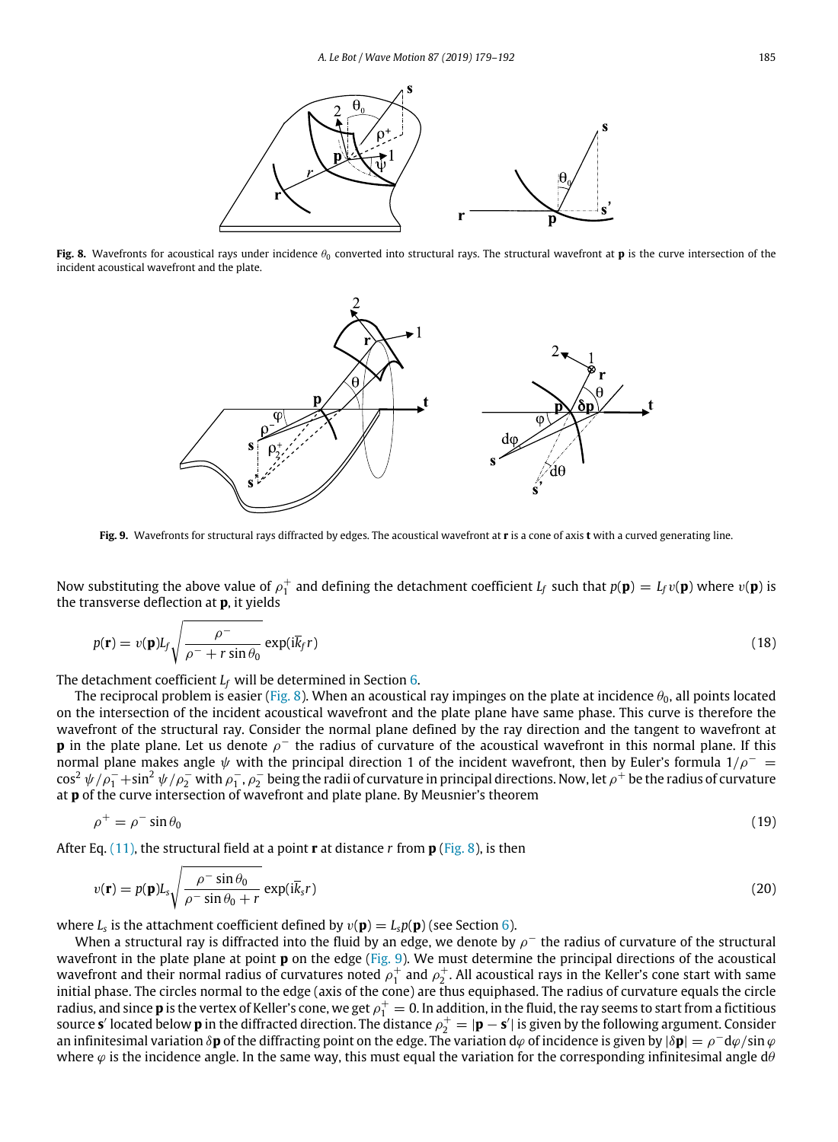

<span id="page-6-0"></span>**Fig. 8.** Wavefronts for acoustical rays under incidence  $\theta_0$  converted into structural rays. The structural wavefront at **p** is the curve intersection of the incident acoustical wavefront and the plate.



<span id="page-6-1"></span>**Fig. 9.** Wavefronts for structural rays diffracted by edges. The acoustical wavefront at **r** is a cone of axis **t** with a curved generating line.

Now substituting the above value of  $\rho_1^+$  and defining the detachment coefficient  $L_f$  such that  $p({\bf p})=L_fv({\bf p})$  where  $v({\bf p})$  is the transverse deflection at **p**, it yields

<span id="page-6-2"></span>
$$
p(\mathbf{r}) = v(\mathbf{p})L_f \sqrt{\frac{\rho^-}{\rho^- + r \sin \theta_0}} \exp(i\bar{k}_f r)
$$
\n(18)

The detachment coefficient *L<sup>f</sup>* will be determined in Section [6](#page-8-0).

The reciprocal problem is easier ([Fig.](#page-6-0) [8\)](#page-6-0). When an acoustical ray impinges on the plate at incidence  $\theta_0$ , all points located on the intersection of the incident acoustical wavefront and the plate plane have same phase. This curve is therefore the wavefront of the structural ray. Consider the normal plane defined by the ray direction and the tangent to wavefront at **p** in the plate plane. Let us denote  $\rho^-$  the radius of curvature of the acoustical wavefront in this normal plane. If this normal plane makes angle  $\psi$  with the principal direction 1 of the incident wavefront, then by Euler's formula  $1/\rho^-$  =  $\cos^2\psi/\rho_1^-+\sin^2\psi/\rho_2^-$  with  $\rho_1^-$  ,  $\rho_2^-$  being the radii of curvature in principal directions. Now, let  $\rho^+$  be the radius of curvature at **p** of the curve intersection of wavefront and plate plane. By Meusnier's theorem

$$
\rho^+ = \rho^- \sin \theta_0 \tag{19}
$$

After Eq. ([11](#page-4-3)), the structural field at a point **r** at distance *r* from **p** ([Fig.](#page-6-0) [8\)](#page-6-0), is then

<span id="page-6-3"></span>
$$
v(\mathbf{r}) = p(\mathbf{p})L_s \sqrt{\frac{\rho^- \sin \theta_0}{\rho^- \sin \theta_0 + r}} \exp(i\overline{k}_s r)
$$
\n(20)

where  $L_s$  is the attachment coefficient defined by  $v(\mathbf{p}) = L_s p(\mathbf{p})$  (see Section [6](#page-8-0)).

When a structural ray is diffracted into the fluid by an edge, we denote by  $\rho^-$  the radius of curvature of the structural wavefront in the plate plane at point **p** on the edge ([Fig.](#page-6-1) [9](#page-6-1)). We must determine the principal directions of the acoustical wavefront and their normal radius of curvatures noted  $\rho_1^+$  and  $\rho_2^+$ . All acoustical rays in the Keller's cone start with same initial phase. The circles normal to the edge (axis of the cone) are thus equiphased. The radius of curvature equals the circle radius, and since **p** is the vertex of Keller's cone, we get  $\rho_1^+=0$ . In addition, in the fluid, the ray seems to start from a fictitious source **s'** located below **p** in the diffracted direction. The distance  $\rho_2^+ = |\mathbf{p} - \mathbf{s}'|$  is given by the following argument. Consider an infinitesimal variation  $\delta$ **p** of the diffracting point on the edge. The variation d $\varphi$  of incidence is given by  $|\delta{\bf p}|=\rho^-$ d $\varphi$ /sin  $\varphi$ where  $\varphi$  is the incidence angle. In the same way, this must equal the variation for the corresponding infinitesimal angle d $\theta$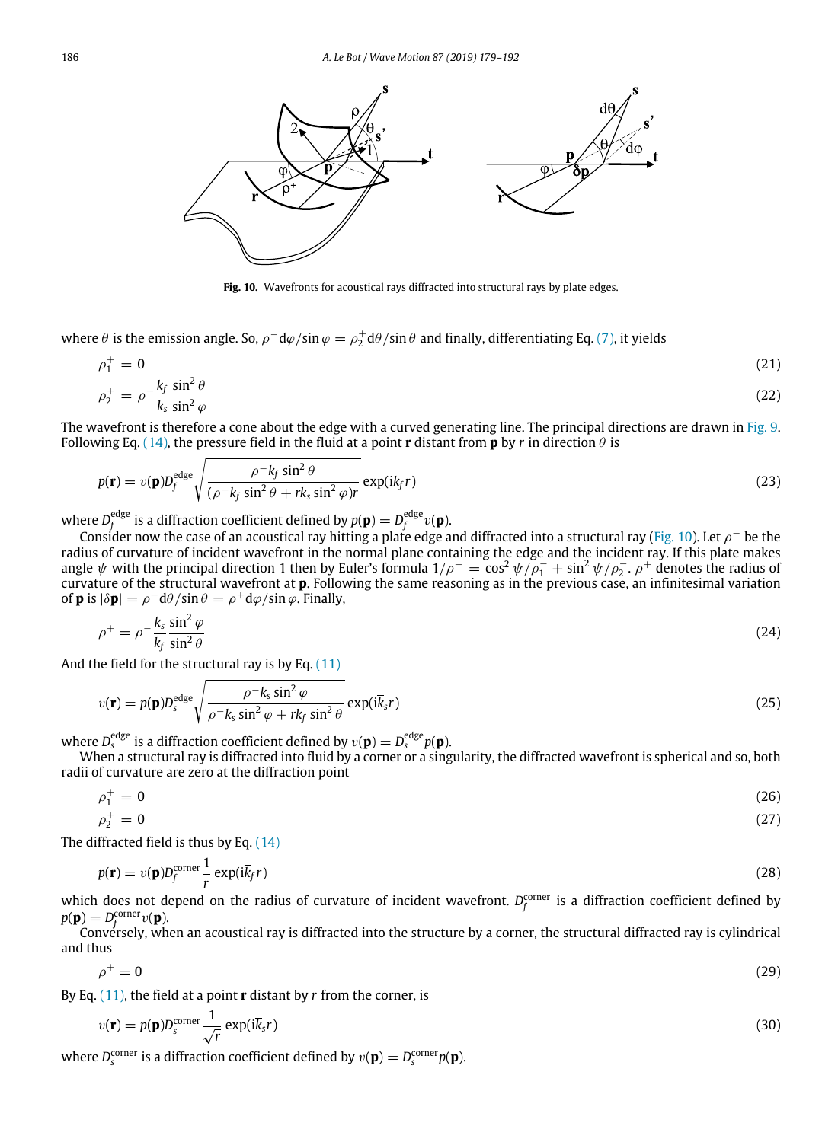

<span id="page-7-1"></span>**Fig. 10.** Wavefronts for acoustical rays diffracted into structural rays by plate edges.

<span id="page-7-0"></span>where  $\theta$  is the emission angle. So,  $\rho^-$ d $\varphi/$ sin  $\varphi=\rho_2^+$ d $\theta/$ sin $\theta$  and finally, differentiating Eq. [\(7\)](#page-3-1), it yields

$$
\rho_1^+ = 0 \tag{21}
$$
\n
$$
\rho_2^+ = \rho^{-1} \frac{k_f}{l} \frac{\sin^2 \theta}{l^2} \tag{22}
$$

$$
\rho_2^+ = \rho^- \frac{\kappa_f}{k_s} \frac{\sin \theta}{\sin^2 \varphi} \tag{22}
$$

The wavefront is therefore a cone about the edge with a curved generating line. The principal directions are drawn in [Fig.](#page-6-1) [9](#page-6-1). Following Eq. [\(14\)](#page-4-2), the pressure field in the fluid at a point **r** distant from **p** by *r* in direction  $\theta$  is

$$
p(\mathbf{r}) = v(\mathbf{p}) D_f^{\text{edge}} \sqrt{\frac{\rho^{-1} k_f \sin^2 \theta}{(\rho^{-1} k_f \sin^2 \theta + r k_s \sin^2 \varphi)r}} \exp(i \bar{k}_f r)
$$
\n(23)

where  $D_f^{\text{edge}}$  is a diffraction coefficient defined by  $p(\mathbf{p})=D_f^{\text{edge}}v(\mathbf{p}).$ 

Consider now the case of an acoustical ray hitting a plate edge and diffracted into a structural ray [\(Fig.](#page-7-0) [10\)](#page-7-0). Let  $\rho^-$  be the radius of curvature of incident wavefront in the normal plane containing the edge and the incident ray. If this plate makes angle  $\psi$  with the principal direction 1 then by Euler's formula  $1/\rho^- = \cos^2 \psi/\rho_1^- + \sin^2 \psi/\rho_2^-$ .  $\rho^+$  denotes the radius of curvature of the structural wavefront at **p**. Following the same reasoning as in the previous case, an infinitesimal variation of **p** is  $|\delta \mathbf{p}| = \rho^- d\theta / \sin \theta = \rho^+ d\varphi / \sin \varphi$ . Finally,

$$
\rho^+ = \rho^- \frac{k_s}{k_f} \frac{\sin^2 \varphi}{\sin^2 \theta} \tag{24}
$$

And the field for the structural ray is by Eq. ([11](#page-4-3))

<span id="page-7-2"></span>
$$
v(\mathbf{r}) = p(\mathbf{p})D_s^{\text{edge}} \sqrt{\frac{\rho^- k_s \sin^2 \varphi}{\rho^- k_s \sin^2 \varphi + r k_f \sin^2 \theta}} \exp(i\overline{k}_s r)
$$
\n(25)

where  $D_{\text{s}}^{\text{edge}}$  is a diffraction coefficient defined by  $v(\mathbf{p})=D_{\text{s}}^{\text{edge}}p(\mathbf{p}).$ 

When a structural ray is diffracted into fluid by a corner or a singularity, the diffracted wavefront is spherical and so, both radii of curvature are zero at the diffraction point

$$
\rho_1^+ = 0 \tag{26}
$$

$$
\rho_2^+ = 0 \tag{27}
$$

The diffracted field is thus by Eq.  $(14)$ 

$$
p(\mathbf{r}) = v(\mathbf{p})D_f^{\text{corner}} \frac{1}{r} \exp(i\bar{k}_f r) \tag{28}
$$

which does not depend on the radius of curvature of incident wavefront.  $D_f^{\rm corner}$  is a diffraction coefficient defined by  $p(\mathbf{p}) = D_f^{\text{corner}} v(\mathbf{p}).$ 

Conversely, when an acoustical ray is diffracted into the structure by a corner, the structural diffracted ray is cylindrical and thus

$$
\rho^+ = 0 \tag{29}
$$

By Eq. [\(11\)](#page-4-3), the field at a point **r** distant by *r* from the corner, is

$$
v(\mathbf{r}) = p(\mathbf{p})D_s^{\text{corner}} \frac{1}{\sqrt{r}} \exp(i\overline{k}_s r) \tag{30}
$$

where  $D_{\text{s}}^{\text{corner}}$  is a diffraction coefficient defined by  $v(\mathbf{p}) = D_{\text{s}}^{\text{corner}} p(\mathbf{p})$ .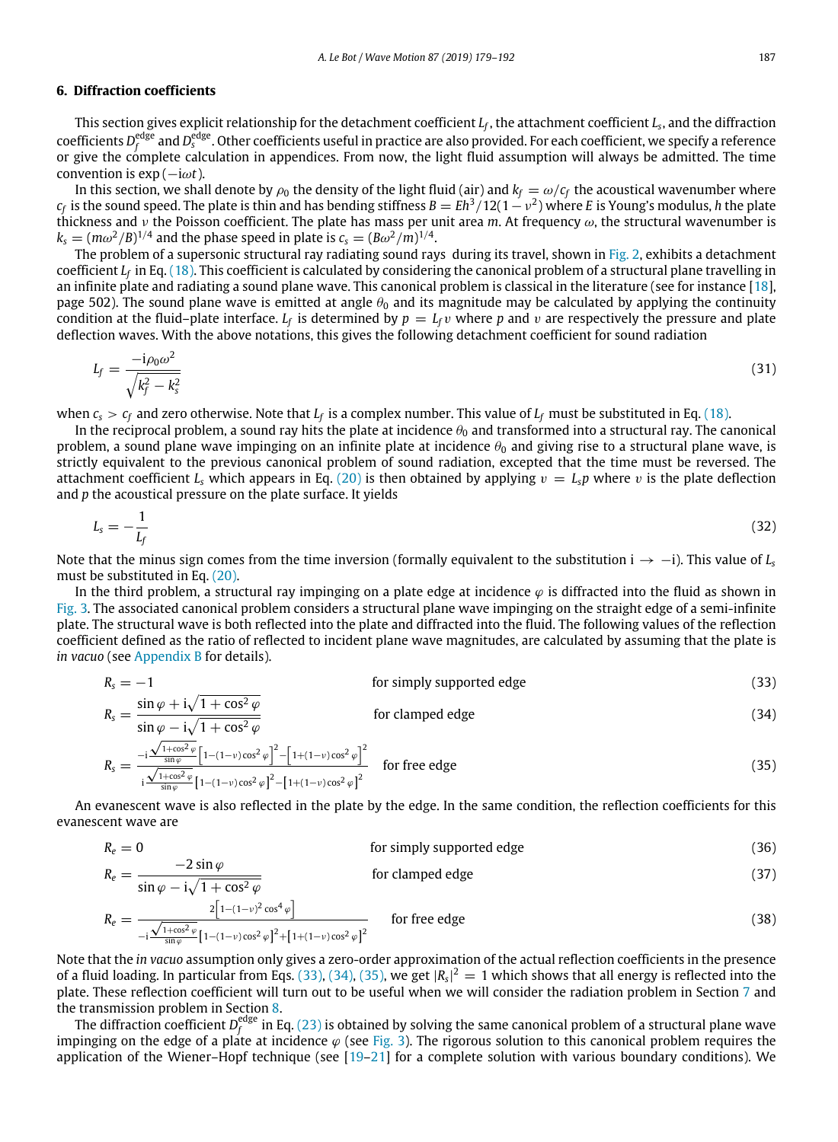#### **6. Diffraction coefficients**

 $R_e$ 

<span id="page-8-6"></span><span id="page-8-5"></span><span id="page-8-4"></span><span id="page-8-3"></span><span id="page-8-2"></span><span id="page-8-1"></span> $-2 \sin \omega$ 

<span id="page-8-0"></span>This section gives explicit relationship for the detachment coefficient *L<sup>f</sup>* , the attachment coefficient *L<sup>s</sup>* , and the diffraction coefficients  $D_f^{\text{edge}}$  and  $D_s^{\text{edge}}$ . Other coefficients useful in practice are also provided. For each coefficient, we specify a reference or give the complete calculation in appendices. From now, the light fluid assumption will always be admitted. The time convention is exp (−iω*t*).

In this section, we shall denote by  $\rho_0$  the density of the light fluid (air) and  $k_f = \omega/c_f$  the acoustical wavenumber where  $c_f$  is the sound speed. The plate is thin and has bending stiffness  $B=Eh^3/12(1-\nu^2)$  where  $E$  is Young's modulus,  $h$  the plate thickness and ν the Poisson coefficient. The plate has mass per unit area *m*. At frequency ω, the structural wavenumber is  $k_{\rm s} = (m\omega^2/B)^{1/4}$  and the phase speed in plate is  $c_{\rm s} = (B\omega^2/m)^{1/4}$ .

The problem of a supersonic structural ray radiating sound rays during its travel, shown in [Fig.](#page-2-3) [2,](#page-2-3) exhibits a detachment coefficient *L<sup>f</sup>* in Eq. [\(18\)](#page-6-2). This coefficient is calculated by considering the canonical problem of a structural plane travelling in an infinite plate and radiating a sound plane wave. This canonical problem is classical in the literature (see for instance [[18](#page-13-17)], page 502). The sound plane wave is emitted at angle  $\theta_0$  and its magnitude may be calculated by applying the continuity condition at the fluid–plate interface.  $L_f$  is determined by  $p = L_f v$  where p and v are respectively the pressure and plate deflection waves. With the above notations, this gives the following detachment coefficient for sound radiation

$$
L_f = \frac{-i\rho_0 \omega^2}{\sqrt{k_f^2 - k_s^2}}\tag{31}
$$

when  $c_s > c_f$  and zero otherwise. Note that  $L_f$  is a complex number. This value of  $L_f$  must be substituted in Eq. ([18](#page-6-2)).

In the reciprocal problem, a sound ray hits the plate at incidence  $\theta_0$  and transformed into a structural ray. The canonical problem, a sound plane wave impinging on an infinite plate at incidence  $\theta_0$  and giving rise to a structural plane wave, is strictly equivalent to the previous canonical problem of sound radiation, excepted that the time must be reversed. The attachment coefficient  $L_s$  which appears in Eq. [\(20\)](#page-6-3) is then obtained by applying  $v = L_s p$  where v is the plate deflection and *p* the acoustical pressure on the plate surface. It yields

$$
L_s = -\frac{1}{L_f} \tag{32}
$$

Note that the minus sign comes from the time inversion (formally equivalent to the substitution i → −i). This value of *L<sup>s</sup>* must be substituted in Eq. [\(20\)](#page-6-3).

In the third problem, a structural ray impinging on a plate edge at incidence  $\varphi$  is diffracted into the fluid as shown in [Fig.](#page-3-2) [3.](#page-3-2) The associated canonical problem considers a structural plane wave impinging on the straight edge of a semi-infinite plate. The structural wave is both reflected into the plate and diffracted into the fluid. The following values of the reflection coefficient defined as the ratio of reflected to incident plane wave magnitudes, are calculated by assuming that the plate is *in vacuo* (see [Appendix](#page-12-1) [B](#page-12-1) for details).

$$
R_{s} = -1
$$
 for simply supported edge (33)

$$
R_s = \frac{\sin \varphi + i\sqrt{1 + \cos^2 \varphi}}{1 + \sqrt{1 + \cos^2 \varphi}}
$$
 for clamped edge (34)

$$
\sin \varphi - i \sqrt{1 + \cos^2 \varphi}
$$
\n
$$
R_{\rm s} = \frac{-i \frac{\sqrt{1 + \cos^2 \varphi}}{\sin \varphi} \left[1 - (1 - \nu) \cos^2 \varphi\right]^2 - \left[1 + (1 - \nu) \cos^2 \varphi\right]^2}{i \frac{\sqrt{1 + \cos^2 \varphi}}{\sin \varphi} \left[1 - (1 - \nu) \cos^2 \varphi\right]^2 - \left[1 + (1 - \nu) \cos^2 \varphi\right]^2}
$$
\nfor free edge

\n
$$
(35)
$$

An evanescent wave is also reflected in the plate by the edge. In the same condition, the reflection coefficients for this evanescent wave are

$$
R_e = 0
$$
 for simply supported edge (36)

$$
= \frac{2 \sin \varphi}{\sin \varphi - i \sqrt{1 + \cos^2 \varphi}}
$$
 for clamped edge (37)

$$
R_e = \frac{2\left[1 - (1 - \nu)^2 \cos^4 \varphi\right]}{-i \frac{\sqrt{1 + \cos^2 \varphi}}{\sin \varphi} \left[1 - (1 - \nu) \cos^2 \varphi\right]^2 + \left[1 + (1 - \nu) \cos^2 \varphi\right]^2}
$$
 for free edge (38)

Note that the *in vacuo* assumption only gives a zero-order approximation of the actual reflection coefficients in the presence of a fluid loading. In particular from Eqs. ([33](#page-8-1)), ([34](#page-8-2)), ([35](#page-8-3)), we get  $|R_s|^2=1$  which shows that all energy is reflected into the plate. These reflection coefficient will turn out to be useful when we will consider the radiation problem in Section [7](#page-9-0) and the transmission problem in Section [8.](#page-10-0)

The diffraction coefficient  $D_f^{\rm edge}$  in Eq. [\(23\)](#page-7-1) is obtained by solving the same canonical problem of a structural plane wave impinging on the edge of a plate at incidence  $\varphi$  (see [Fig.](#page-3-2) [3](#page-3-2)). The rigorous solution to this canonical problem requires the application of the Wiener–Hopf technique (see [[19](#page-13-18)[–21\]](#page-13-19) for a complete solution with various boundary conditions). We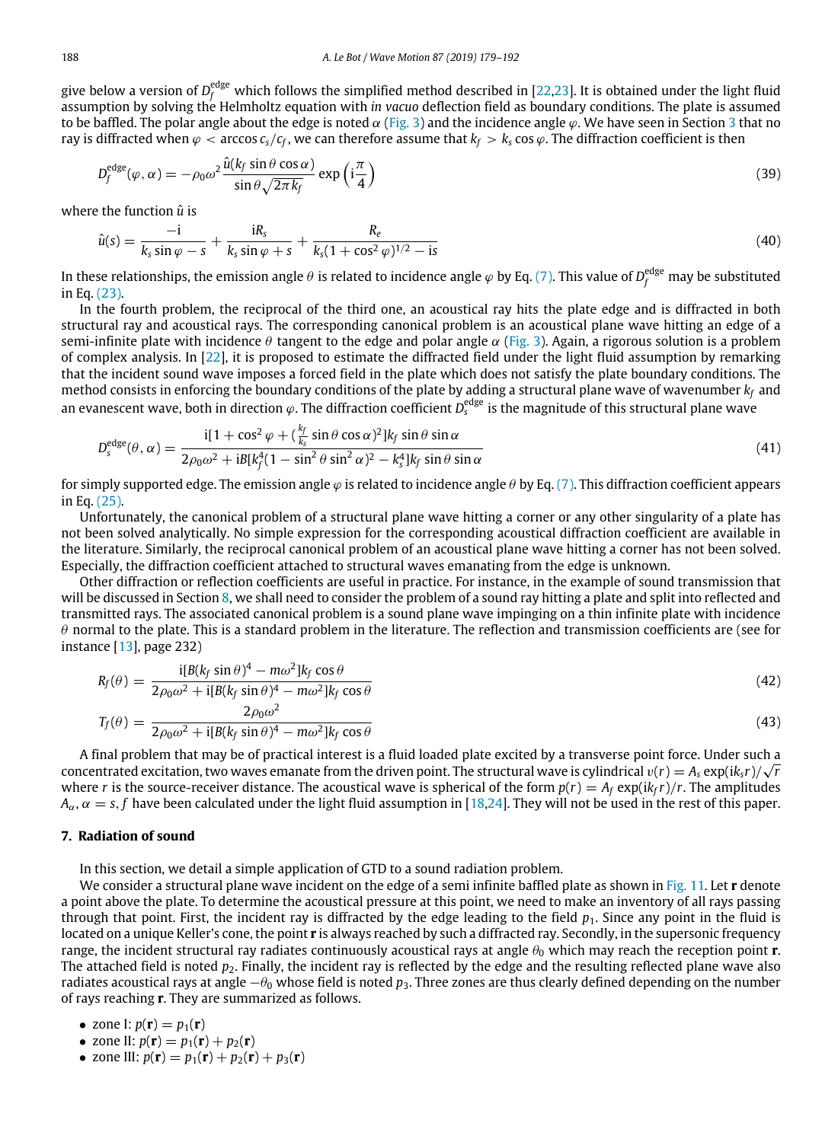give below a version of  $D_f^{\text{edge}}$  which follows the simplified method described in [[22](#page-13-20)[,23\]](#page-13-21). It is obtained under the light fluid assumption by solving the Helmholtz equation with *in vacuo* deflection field as boundary conditions. The plate is assumed to be baffled. The polar angle about the edge is noted  $\alpha$  ([Fig.](#page-3-2) [3\)](#page-3-2) and the incidence angle  $\varphi$ . We have seen in Section [3](#page-1-1) that no ray is diffracted when  $\varphi <$  arccos  $c_s/c_f$ , we can therefore assume that  $k_f>k_s\cos\varphi.$  The diffraction coefficient is then

$$
D_f^{\text{edge}}(\varphi, \alpha) = -\rho_0 \omega^2 \frac{\hat{u}(k_f \sin \theta \cos \alpha)}{\sin \theta \sqrt{2\pi k_f}} \exp\left(i\frac{\pi}{4}\right)
$$
(39)

where the function  $\hat{u}$  is

$$
\hat{u}(s) = \frac{-i}{k_s \sin \varphi - s} + \frac{iR_s}{k_s \sin \varphi + s} + \frac{R_e}{k_s (1 + \cos^2 \varphi)^{1/2} - is}
$$
(40)

In these relationships, the emission angle  $\theta$  is related to incidence angle  $\varphi$  by Eq. [\(7\)](#page-3-1). This value of  $D_f^{\rm edge}$  may be substituted in Eq. [\(23\)](#page-7-1).

In the fourth problem, the reciprocal of the third one, an acoustical ray hits the plate edge and is diffracted in both structural ray and acoustical rays. The corresponding canonical problem is an acoustical plane wave hitting an edge of a semi-infinite plate with incidence  $\theta$  tangent to the edge and polar angle  $\alpha$  ([Fig.](#page-3-2) [3](#page-3-2)). Again, a rigorous solution is a problem of complex analysis. In [[22](#page-13-20)], it is proposed to estimate the diffracted field under the light fluid assumption by remarking that the incident sound wave imposes a forced field in the plate which does not satisfy the plate boundary conditions. The method consists in enforcing the boundary conditions of the plate by adding a structural plane wave of wavenumber *k<sup>f</sup>* and an evanescent wave, both in direction φ. The diffraction coefficient D<sup>edge</sup> is the magnitude of this structural plane wave

$$
D_{s}^{\text{edge}}(\theta,\alpha) = \frac{\mathrm{i}[1+\cos^{2}\varphi + (\frac{k_{f}}{k_{s}}\sin\theta\cos\alpha)^{2}]k_{f}\sin\theta\sin\alpha}{2\rho_{0}\omega^{2} + \mathrm{i}B[k_{f}^{4}(1-\sin^{2}\theta\sin^{2}\alpha)^{2} - k_{s}^{4}]k_{f}\sin\theta\sin\alpha}
$$
(41)

for simply supported edge. The emission angle  $\varphi$  is related to incidence angle  $\theta$  by Eq. [\(7\)](#page-3-1). This diffraction coefficient appears in Eq. [\(25\)](#page-7-2).

Unfortunately, the canonical problem of a structural plane wave hitting a corner or any other singularity of a plate has not been solved analytically. No simple expression for the corresponding acoustical diffraction coefficient are available in the literature. Similarly, the reciprocal canonical problem of an acoustical plane wave hitting a corner has not been solved. Especially, the diffraction coefficient attached to structural waves emanating from the edge is unknown.

Other diffraction or reflection coefficients are useful in practice. For instance, in the example of sound transmission that will be discussed in Section [8](#page-10-0), we shall need to consider the problem of a sound ray hitting a plate and split into reflected and transmitted rays. The associated canonical problem is a sound plane wave impinging on a thin infinite plate with incidence  $\theta$  normal to the plate. This is a standard problem in the literature. The reflection and transmission coefficients are (see for instance [[13](#page-13-12)], page 232)

$$
R_f(\theta) = \frac{i[B(k_f \sin \theta)^4 - m\omega^2]k_f \cos \theta}{2\rho_0 \omega^2 + i[B(k_f \sin \theta)^4 - m\omega^2]k_f \cos \theta}
$$
\n(42)

$$
T_f(\theta) = 2\rho_0 \omega^2 + i[B(k_f \sin \theta)^4 - m\omega^2]k_f \cos \theta
$$
  
\n
$$
T_f(\theta) = \frac{2\rho_0 \omega^2}{2\rho_0 \omega^2 + i[B(k_f \sin \theta)^4 - m\omega^2]k_f \cos \theta}
$$
\n(43)

A final problem that may be of practical interest is a fluid loaded plate excited by a transverse point force. Under such a √ concentrated excitation, two waves emanate from the driven point. The structural wave is cylindrical  $v(r)=A_s\exp({\rm i}k_s r)/\sqrt{r}$ where *r* is the source-receiver distance. The acoustical wave is spherical of the form  $p(r) = A_f \exp(ik_f r)/r$ . The amplitudes  $A_{\alpha}$ ,  $\alpha = s$ , *f* have been calculated under the light fluid assumption in [\[18](#page-13-17),[24\]](#page-13-22). They will not be used in the rest of this paper.

## **7. Radiation of sound**

<span id="page-9-0"></span>In this section, we detail a simple application of GTD to a sound radiation problem.

We consider a structural plane wave incident on the edge of a semi infinite baffled plate as shown in [Fig.](#page-10-1) [11.](#page-10-1) Let **r** denote a point above the plate. To determine the acoustical pressure at this point, we need to make an inventory of all rays passing through that point. First, the incident ray is diffracted by the edge leading to the field  $p_1$ . Since any point in the fluid is located on a unique Keller's cone, the point **r** is always reached by such a diffracted ray. Secondly, in the supersonic frequency range, the incident structural ray radiates continuously acoustical rays at angle  $\theta_0$  which may reach the reception point **r**. The attached field is noted  $p_2$ . Finally, the incident ray is reflected by the edge and the resulting reflected plane wave also radiates acoustical rays at angle  $-\theta_0$  whose field is noted  $p_3$ . Three zones are thus clearly defined depending on the number of rays reaching **r**. They are summarized as follows.

- zone I:  $p(\mathbf{r}) = p_1(\mathbf{r})$
- zone II:  $p(\mathbf{r}) = p_1(\mathbf{r}) + p_2(\mathbf{r})$
- zone III:  $p(\mathbf{r}) = p_1(\mathbf{r}) + p_2(\mathbf{r}) + p_3(\mathbf{r})$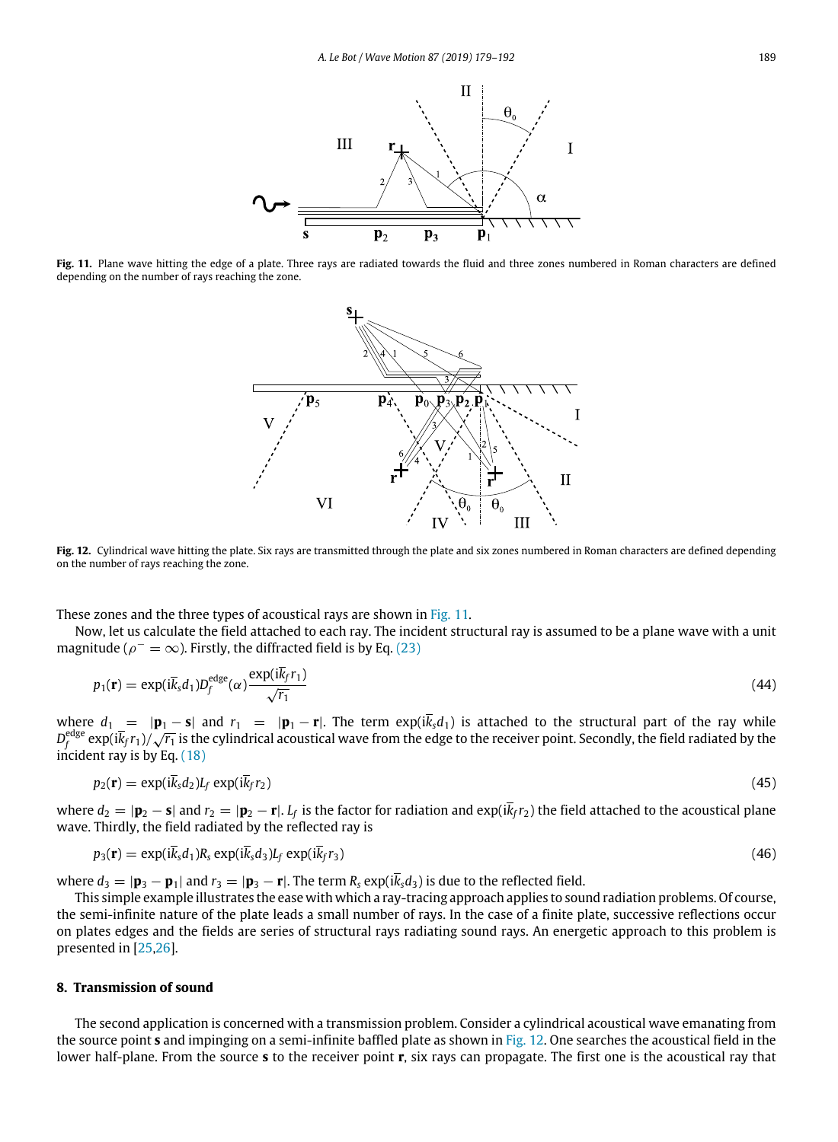

<span id="page-10-1"></span>**Fig. 11.** Plane wave hitting the edge of a plate. Three rays are radiated towards the fluid and three zones numbered in Roman characters are defined depending on the number of rays reaching the zone.



<span id="page-10-2"></span>**Fig. 12.** Cylindrical wave hitting the plate. Six rays are transmitted through the plate and six zones numbered in Roman characters are defined depending on the number of rays reaching the zone.

These zones and the three types of acoustical rays are shown in [Fig.](#page-10-1) [11.](#page-10-1)

Now, let us calculate the field attached to each ray. The incident structural ray is assumed to be a plane wave with a unit magnitude ( $\rho^- = \infty$ ). Firstly, the diffracted field is by Eq. ([23](#page-7-1))

$$
p_1(\mathbf{r}) = \exp(i\overline{k}_s d_1) D_f^{\text{edge}}(\alpha) \frac{\exp(i k_f r_1)}{\sqrt{r_1}}
$$
(44)

where  $d_1 = |\mathbf{p}_1 - \mathbf{s}|$  and  $r_1 = |\mathbf{p}_1 - \mathbf{r}|$ . The term exp( $i\bar{k}_s d_1$ ) is attached to the structural part of the ray while where  $a_1 = |{\bf p}_1 - {\bf s}|$  and  $r_1 = |{\bf p}_1 - {\bf r}|$ . The term exp(i $k_s a_1$ ) is attached to the structural part of the ray while  $D_f^{\rm edge}$  exp(i $\overline{k}_f r_1$ )/ $\sqrt{r_1}$  is the cylindrical acoustical wave from the edge to the recei incident ray is by Eq. ([18\)](#page-6-2)

$$
p_2(\mathbf{r}) = \exp(i\bar{k}_s d_2) L_f \exp(i\bar{k}_f r_2)
$$
\n(45)

where  $d_2=|\bm{p}_2-\bm{s}|$  and  $r_2=|\bm{p}_2-\bm{r}|$ .  $L_f$  is the factor for radiation and exp(i $\bar{k}_f r_2$ ) the field attached to the acoustical plane wave. Thirdly, the field radiated by the reflected ray is

$$
p_3(\mathbf{r}) = \exp(i\bar{k}_s d_1) R_s \exp(i\bar{k}_s d_3) L_f \exp(i\bar{k}_f r_3)
$$
\n(46)

where  $d_3 = |\mathbf{p}_3 - \mathbf{p}_1|$  and  $r_3 = |\mathbf{p}_3 - \mathbf{r}|$ . The term  $R_s \exp(i\bar{k}_s d_3)$  is due to the reflected field.

This simple example illustrates the ease with which a ray-tracing approach applies to sound radiation problems. Of course, the semi-infinite nature of the plate leads a small number of rays. In the case of a finite plate, successive reflections occur on plates edges and the fields are series of structural rays radiating sound rays. An energetic approach to this problem is presented in [[25](#page-13-23)[,26\]](#page-13-24).

#### **8. Transmission of sound**

<span id="page-10-0"></span>The second application is concerned with a transmission problem. Consider a cylindrical acoustical wave emanating from the source point **s** and impinging on a semi-infinite baffled plate as shown in [Fig.](#page-10-2) [12](#page-10-2). One searches the acoustical field in the lower half-plane. From the source **s** to the receiver point **r**, six rays can propagate. The first one is the acoustical ray that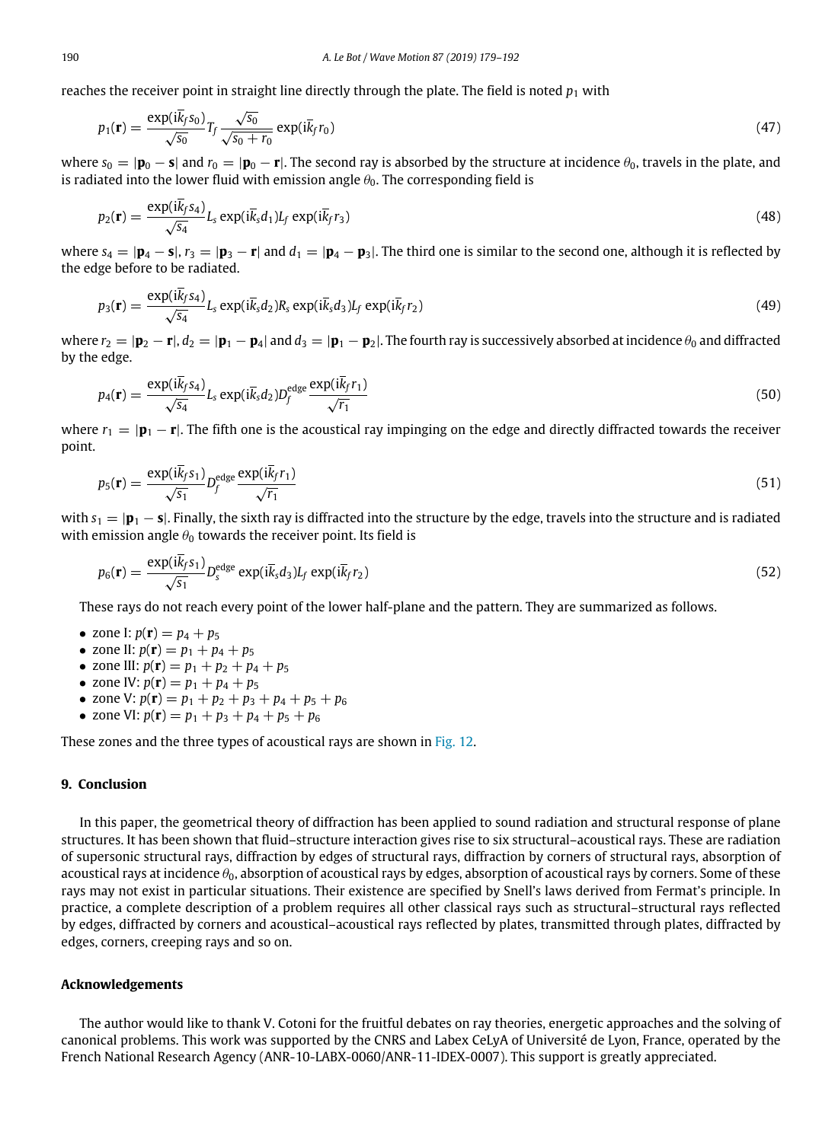reaches the receiver point in straight line directly through the plate. The field is noted  $p_1$  with

$$
p_1(\mathbf{r}) = \frac{\exp(i\bar{k}_f s_0)}{\sqrt{s_0}} T_f \frac{\sqrt{s_0}}{\sqrt{s_0 + r_0}} \exp(i\bar{k}_f r_0)
$$
\n(47)

where  $s_0 = |\mathbf{p}_0 - \mathbf{s}|$  and  $r_0 = |\mathbf{p}_0 - \mathbf{r}|$ . The second ray is absorbed by the structure at incidence  $\theta_0$ , travels in the plate, and is radiated into the lower fluid with emission angle  $\theta_0$ . The corresponding field is

$$
p_2(\mathbf{r}) = \frac{\exp\left(i k_f s_4\right)}{\sqrt{s_4}} L_s \exp\left(i \overline{k}_s d_1 \right) L_f \exp\left(i \overline{k}_f r_3\right) \tag{48}
$$

where  $s_4 = |\mathbf{p}_4 - \mathbf{s}|$ ,  $r_3 = |\mathbf{p}_3 - \mathbf{r}|$  and  $d_1 = |\mathbf{p}_4 - \mathbf{p}_3|$ . The third one is similar to the second one, although it is reflected by the edge before to be radiated.

$$
p_3(\mathbf{r}) = \frac{\exp(ik_f s_4)}{\sqrt{s_4}} L_s \exp(i\bar{k}_s d_2) R_s \exp(i\bar{k}_s d_3) L_f \exp(i\bar{k}_f r_2)
$$
\n(49)

where  $r_2 = |\mathbf{p}_2 - \mathbf{r}|$ ,  $d_2 = |\mathbf{p}_1 - \mathbf{p}_4|$  and  $d_3 = |\mathbf{p}_1 - \mathbf{p}_2|$ . The fourth ray is successively absorbed at incidence  $\theta_0$  and diffracted by the edge.

$$
p_4(\mathbf{r}) = \frac{\exp(i\overline{k}_f s_4)}{\sqrt{s_4}} L_s \exp(i\overline{k}_s d_2) D_f^{\text{edge}} \frac{\exp(i\overline{k}_f r_1)}{\sqrt{r_1}}
$$
(50)

where  $r_1 = |\mathbf{p}_1 - \mathbf{r}|$ . The fifth one is the acoustical ray impinging on the edge and directly diffracted towards the receiver point.

$$
p_5(\mathbf{r}) = \frac{\exp(i\bar{k}_f s_1)}{\sqrt{s_1}} D_f^{\text{edge}} \frac{\exp(i\bar{k}_f r_1)}{\sqrt{r_1}}
$$
(51)

with  $s_1 = |p_1 - s|$ . Finally, the sixth ray is diffracted into the structure by the edge, travels into the structure and is radiated with emission angle  $\theta_0$  towards the receiver point. Its field is

$$
p_6(\mathbf{r}) = \frac{\exp\left(i k_f s_1\right)}{\sqrt{s_1}} D_s^{\text{edge}} \exp\left(i \overline{k}_s d_3\right) L_f \exp\left(i \overline{k}_f r_2\right) \tag{52}
$$

These rays do not reach every point of the lower half-plane and the pattern. They are summarized as follows.

- zone I:  $p(r) = p_4 + p_5$
- zone II:  $p(r) = p_1 + p_4 + p_5$
- zone III:  $p(\mathbf{r}) = p_1 + p_2 + p_4 + p_5$
- zone IV:  $p(\mathbf{r}) = p_1 + p_4 + p_5$
- zone V:  $p(\mathbf{r}) = p_1 + p_2 + p_3 + p_4 + p_5 + p_6$
- zone VI:  $p(\mathbf{r}) = p_1 + p_3 + p_4 + p_5 + p_6$

These zones and the three types of acoustical rays are shown in [Fig.](#page-10-2) [12.](#page-10-2)

#### **9. Conclusion**

In this paper, the geometrical theory of diffraction has been applied to sound radiation and structural response of plane structures. It has been shown that fluid–structure interaction gives rise to six structural–acoustical rays. These are radiation of supersonic structural rays, diffraction by edges of structural rays, diffraction by corners of structural rays, absorption of acoustical rays at incidence  $\theta_0$ , absorption of acoustical rays by edges, absorption of acoustical rays by corners. Some of these rays may not exist in particular situations. Their existence are specified by Snell's laws derived from Fermat's principle. In practice, a complete description of a problem requires all other classical rays such as structural–structural rays reflected by edges, diffracted by corners and acoustical–acoustical rays reflected by plates, transmitted through plates, diffracted by edges, corners, creeping rays and so on.

#### **Acknowledgements**

The author would like to thank V. Cotoni for the fruitful debates on ray theories, energetic approaches and the solving of canonical problems. This work was supported by the CNRS and Labex CeLyA of Université de Lyon, France, operated by the French National Research Agency (ANR-10-LABX-0060/ANR-11-IDEX-0007). This support is greatly appreciated.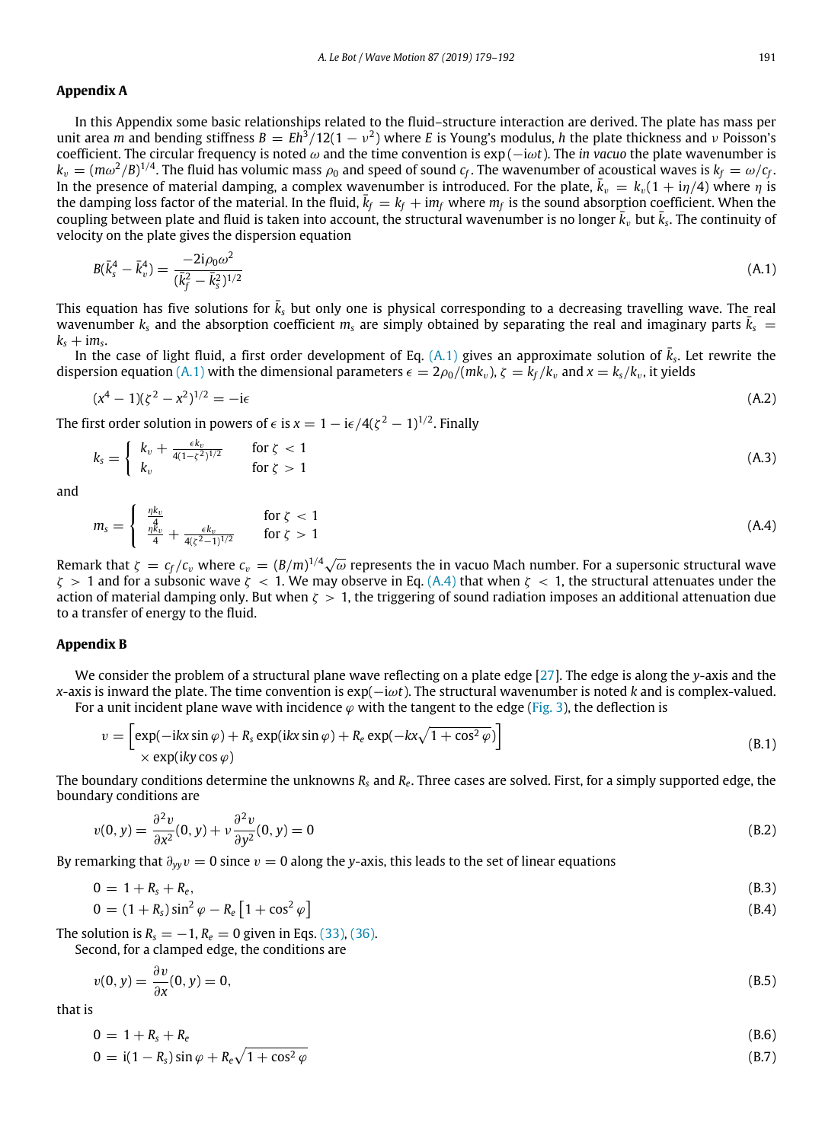#### **Appendix A**

<span id="page-12-0"></span>In this Appendix some basic relationships related to the fluid–structure interaction are derived. The plate has mass per unit area *m* and bending stiffness  $B = Eh^3/12(1 - v^2)$  where *E* is Young's modulus, *h* the plate thickness and *v* Poisson's coefficient. The circular frequency is noted ω and the time convention is exp (−iω*t*). The *in vacuo* the plate wavenumber is  $k_v=(m\omega^2/B)^{1/4}.$  The fluid has volumic mass  $\rho_0$  and speed of sound  $c_f.$  The wavenumber of acoustical waves is  $k_f=\omega/c_f.$ In the presence of material damping, a complex wavenumber is introduced. For the plate,  $\bar{k}_v = k_v(1 + \text{i}\eta/4)$  where  $\eta$  is the damping loss factor of the material. In the fluid,  $\bar{k}_f=k_f+{\rm i}m_f$  where  $m_f$  is the sound absorption coefficient. When the coupling between plate and fluid is taken into account, the structural wavenumber is no longer  $\bar k_v$  but  $\bar k_s$ . The continuity of velocity on the plate gives the dispersion equation

<span id="page-12-2"></span>
$$
B(\bar{k}_s^4 - \bar{k}_v^4) = \frac{-2i\rho_0\omega^2}{(\bar{k}_f^2 - \bar{k}_s^2)^{1/2}}
$$
(A.1)

This equation has five solutions for  $\bar k_\mathfrak{s}$  but only one is physical corresponding to a decreasing travelling wave. The real wavenumber  $k_s$  and the absorption coefficient  $m_s$  are simply obtained by separating the real and imaginary parts  $\bar{k}_s$  =  $k_s + \mathrm{i}m_s$ .

In the case of light fluid, a first order development of Eq. [\(A.1](#page-12-2)) gives an approximate solution of  $\bar k_\mathfrak{s}$ . Let rewrite the dispersion equation ([A.1\)](#page-12-2) with the dimensional parameters  $\epsilon = 2\rho_0/(mk_v)$ ,  $\zeta = k_f/k_v$  and  $x = k_s/k_v$ , it yields

$$
(x^4 - 1)(\zeta^2 - x^2)^{1/2} = -i\epsilon \tag{A.2}
$$

The first order solution in powers of  $\epsilon$  is  $x = 1 - i\epsilon/4(\zeta^2 - 1)^{1/2}$ . Finally

$$
k_s = \begin{cases} k_v + \frac{\epsilon k_v}{4(1-\zeta^2)^{1/2}} & \text{for } \zeta < 1\\ k_v & \text{for } \zeta > 1 \end{cases}
$$
 (A.3)

and

<span id="page-12-3"></span>
$$
m_s = \begin{cases} \frac{\eta k_v}{4} & \text{for } \zeta < 1\\ \frac{\eta k_v}{4} + \frac{\epsilon k_v}{4(\zeta^2 - 1)^{1/2}} & \text{for } \zeta > 1 \end{cases} \tag{A.4}
$$

Remark that  $\zeta = c_f/c_v$  where  $c_v = (B/m)^{1/4}\sqrt{\omega}$  represents the in vacuo Mach number. For a supersonic structural wave  $\zeta > 1$  and for a subsonic wave  $\zeta < 1$ . We may observe in Eq. [\(A.4](#page-12-3)) that when  $\zeta < 1$ , the structural attenuates under the action of material damping only. But when  $\zeta > 1$ , the triggering of sound radiation imposes an additional attenuation due to a transfer of energy to the fluid.

#### **Appendix B**

<span id="page-12-1"></span>We consider the problem of a structural plane wave reflecting on a plate edge [\[27\]](#page-13-25). The edge is along the *y*-axis and the *x*-axis is inward the plate. The time convention is exp(−iω*t*). The structural wavenumber is noted *k* and is complex-valued. For a unit incident plane wave with incidence  $\varphi$  with the tangent to the edge ([Fig.](#page-3-2) [3\)](#page-3-2), the deflection is

$$
v = \left[ \exp(-ikx \sin \varphi) + R_s \exp(ikx \sin \varphi) + R_e \exp(-kx\sqrt{1 + \cos^2 \varphi}) \right]
$$
  
×  $\exp(iky \cos \varphi)$  (B.1)

The boundary conditions determine the unknowns  $R_{\rm s}$  and  $R_{e}$ . Three cases are solved. First, for a simply supported edge, the boundary conditions are

$$
v(0, y) = \frac{\partial^2 v}{\partial x^2}(0, y) + v \frac{\partial^2 v}{\partial y^2}(0, y) = 0
$$
\n(B.2)

By remarking that  $\partial_{yy}v = 0$  since  $v = 0$  along the *y*-axis, this leads to the set of linear equations

$$
0 = 1 + R_s + R_e,
$$
  
\n
$$
0 = (1 + R_s) \sin^2 \varphi - R_e [1 + \cos^2 \varphi]
$$
\n(B.3)

The solution is  $R_s = -1$ ,  $R_e = 0$  given in Eqs. [\(33\)](#page-8-1), ([36](#page-8-4)).

Second, for a clamped edge, the conditions are

$$
v(0, y) = \frac{\partial v}{\partial x}(0, y) = 0,\tag{B.5}
$$

that is

$$
0 = 1 + R_s + R_e \tag{B.6}
$$

$$
0 = i(1 - R_s)\sin\varphi + R_e\sqrt{1 + \cos^2\varphi}
$$
\n(B.7)